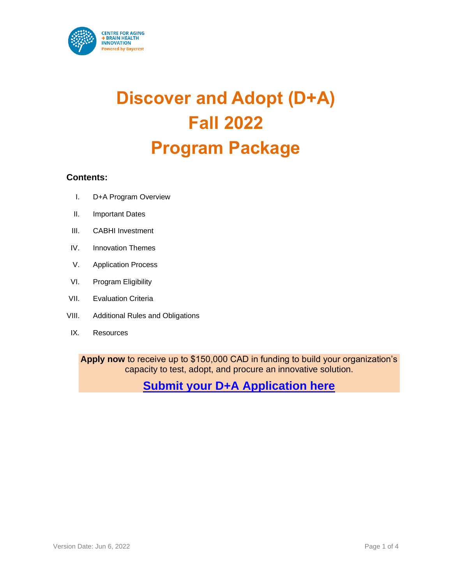

# **Discover and Adopt (D+A) Fall 2022 Program Package**

#### **Contents:**

- I. D+A Program Overview
- II. Important Dates
- III. CABHI Investment
- IV. Innovation Themes
- V. Application Process
- VI. Program Eligibility
- VII. Evaluation Criteria
- VIII. Additional Rules and Obligations
- IX. Resources

**Apply now** to receive up to \$150,000 CAD in funding to build your organization's capacity to test, adopt, and procure an innovative solution.

**[Submit your D+A Application here](https://baycrest.blitzen.com/form/7a985dd64c85519bf677f478566091)**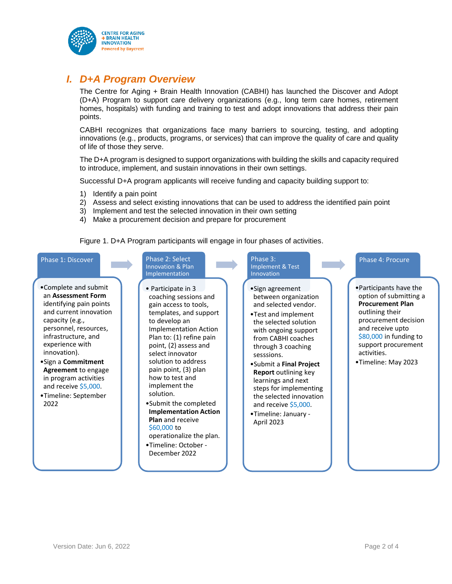

# *I. D+A Program Overview*

The Centre for Aging + Brain Health Innovation (CABHI) has launched the Discover and Adopt (D+A) Program to support care delivery organizations (e.g., long term care homes, retirement homes, hospitals) with funding and training to test and adopt innovations that address their pain points.

CABHI recognizes that organizations face many barriers to sourcing, testing, and adopting innovations (e.g., products, programs, or services) that can improve the quality of care and quality of life of those they serve.

The D+A program is designed to support organizations with building the skills and capacity required to introduce, implement, and sustain innovations in their own settings.

Successful D+A program applicants will receive funding and capacity building support to:

- 1) Identify a pain point
- 2) Assess and select existing innovations that can be used to address the identified pain point
- 3) Implement and test the selected innovation in their own setting
- 4) Make a procurement decision and prepare for procurement

Figure 1. D+A Program participants will engage in four phases of activities.

#### Phase 1: Discover

- •Complete and submit an **Assessment Form**  identifying pain points and current innovation capacity (e.g., personnel, resources, infrastructure, and experience with innovation).
- •Sign a **Commitment Agreement** to engage in program activities and receive \$5,000.
- •Timeline: September 2022

#### Phase 2: Select Innovation & Plan Implementation

- Participate in 3 coaching sessions and gain access to tools, templates, and support to develop an Implementation Action Plan to: (1) refine pain point, (2) assess and select innovator solution to address pain point, (3) plan how to test and implement the solution.
- •Submit the completed **Implementation Action Plan** and receive \$60,000 to operationalize the plan.

•Timeline: October - December 2022

#### Phase 3: Implement & Test Innovation

- •Sign agreement between organization and selected vendor.
- •Test and implement the selected solution with ongoing support from CABHI coaches through 3 coaching sesssions.
- •Submit a **Final Project Report** outlining key learnings and next steps for implementing the selected innovation and receive \$5,000.
- •Timeline: January April 2023

#### Phase 4: Procure

•Participants have the option of submitting a **Procurement Plan**  outlining their procurement decision and receive upto \$80,000 in funding to support procurement activities.

•Timeline: May 2023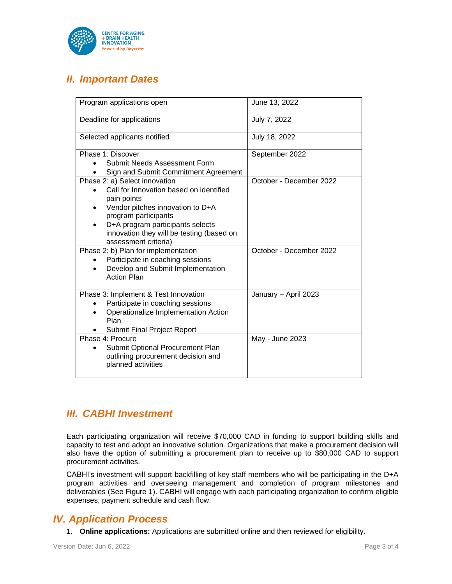

# *II. Important Dates*

| Program applications open                                         | June 13, 2022           |
|-------------------------------------------------------------------|-------------------------|
| Deadline for applications                                         | July 7, 2022            |
| Selected applicants notified                                      | July 18, 2022           |
| Phase 1: Discover                                                 | September 2022          |
| Submit Needs Assessment Form                                      |                         |
| Sign and Submit Commitment Agreement                              |                         |
| Phase 2: a) Select innovation                                     | October - December 2022 |
| Call for Innovation based on identified                           |                         |
| pain points                                                       |                         |
| Vendor pitches innovation to D+A<br>٠                             |                         |
| program participants                                              |                         |
| D+A program participants selects<br>٠                             |                         |
| innovation they will be testing (based on<br>assessment criteria) |                         |
| Phase 2: b) Plan for implementation                               | October - December 2022 |
| Participate in coaching sessions                                  |                         |
| Develop and Submit Implementation                                 |                         |
| <b>Action Plan</b>                                                |                         |
|                                                                   |                         |
| Phase 3: Implement & Test Innovation                              | January - April 2023    |
| Participate in coaching sessions                                  |                         |
| Operationalize Implementation Action                              |                         |
| Plan                                                              |                         |
| Submit Final Project Report                                       |                         |
| Phase 4: Procure                                                  | May - June 2023         |
| Submit Optional Procurement Plan                                  |                         |
| outlining procurement decision and                                |                         |
| planned activities                                                |                         |
|                                                                   |                         |

### *III. CABHI Investment*

Each participating organization will receive \$70,000 CAD in funding to support building skills and capacity to test and adopt an innovative solution. Organizations that make a procurement decision will also have the option of submitting a procurement plan to receive up to \$80,000 CAD to support procurement activities.

CABHI's investment will support backfilling of key staff members who will be participating in the D+A program activities and overseeing management and completion of program milestones and deliverables (See Figure 1). CABHI will engage with each participating organization to confirm eligible expenses, payment schedule and cash flow.

### *IV. Application Process*

1. **Online applications:** Applications are submitted online and then reviewed for eligibility.